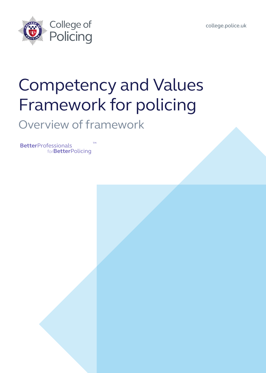

college.police.uk



# Competency and Values Framework for policing

### Overview of framework

**Better**Professionals for**Better**Policing ™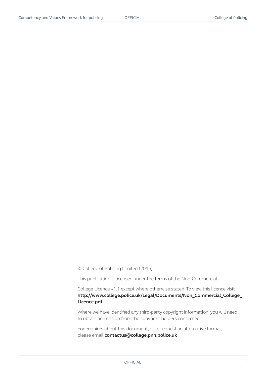© College of Policing Limited (2016)

This publication is licensed under the terms of the Non-Commercial

College Licence v1.1 except where otherwise stated. To view this licence visit **http://www.college.police.uk/Legal/Documents/Non\_Commercial\_College\_ Licence.pdf**

Where we have identified any third-party copyright information, you will need to obtain permission from the copyright holders concerned.

For enquires about this document, or to request an alternative format, please email **contactus@college.pnn.police.uk**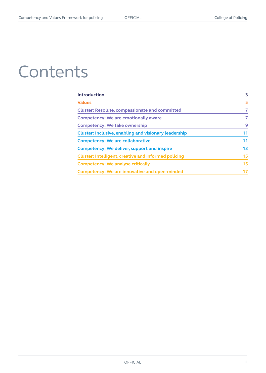# **Contents**

| <b>Introduction</b>                                          | 3  |
|--------------------------------------------------------------|----|
| <b>Values</b>                                                | 5  |
| <b>Cluster: Resolute, compassionate and committed</b>        | 7  |
| <b>Competency: We are emotionally aware</b>                  | 7  |
| <b>Competency: We take ownership</b>                         | 9  |
| <b>Cluster: Inclusive, enabling and visionary leadership</b> | 11 |
| <b>Competency: We are collaborative</b>                      | 11 |
| <b>Competency: We deliver, support and inspire</b>           | 13 |
| <b>Cluster: Intelligent, creative and informed policing</b>  | 15 |
| <b>Competency: We analyse critically</b>                     | 15 |
| <b>Competency: We are innovative and open-minded</b>         | 17 |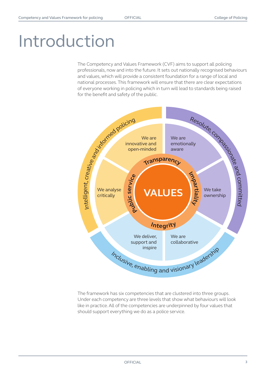# Introduction

The Competency and Values Framework (CVF) aims to support all policing professionals, now and into the future. It sets out nationally recognised behaviours and values, which will provide a consistent foundation for a range of local and national processes. This framework will ensure that there are clear expectations of everyone working in policing which in turn will lead to standards being raised for the benefit and safety of the public.



The framework has six competencies that are clustered into three groups. Under each competency are three levels that show what behaviours will look like in practice. All of the competencies are underpinned by four values that should support everything we do as a police service.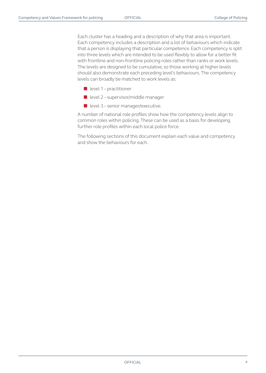Each cluster has a heading and a description of why that area is important. Each competency includes a description and a list of behaviours which indicate that a person is displaying that particular competence. Each competency is split into three levels which are intended to be used flexibly to allow for a better fit with frontline and non-frontline policing roles rather than ranks or work levels. The levels are designed to be cumulative, so those working at higher levels should also demonstrate each preceding level's behaviours. The competency levels can broadly be matched to work levels as:

- level 1 practitioner
- level 2 supervisor/middle manager
- level 3 senior manager/executive.

A number of national role profiles show how the competency levels align to common roles within policing. These can be used as a basis for developing further role profiles within each local police force.

The following sections of this document explain each value and competency and show the behaviours for each.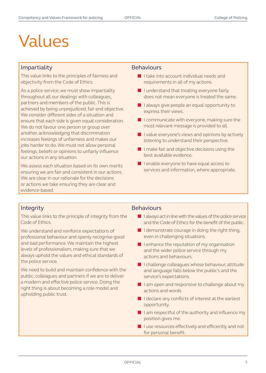# Values

#### **Impartiality** Behaviours

This value links to the principles of fairness and objectivity from the Code of Ethics.

As a police service, we must show impartiality throughout all our dealings with colleagues, partners and members of the public. This is achieved by being unprejudiced, fair and objective. We consider different sides of a situation and ensure that each side is given equal consideration. We do not favour one person or group over another, acknowledging that discrimination increases feelings of unfairness and makes our jobs harder to do. We must not allow personal feelings, beliefs or opinions to unfairly influence our actions in any situation.

We assess each situation based on its own merits ensuring we are fair and consistent in our actions. We are clear in our rationale for the decisions or actions we take ensuring they are clear and evidence-based.

- I take into account individual needs and requirements in all of my actions.
- I understand that treating everyone fairly does not mean everyone is treated the same.
- I always give people an equal opportunity to express their views.
- I communicate with everyone, making sure the most relevant message is provided to all.
- I value everyone's views and opinions by actively listening to understand their perspective.
- I make fair and objective decisions using the best available evidence.
- I enable everyone to have equal access to services and information, where appropriate.

This value links to the principle of integrity from the Code of Ethics.

We understand and reinforce expectations of professional behaviour and openly recognise good and bad performance. We maintain the highest levels of professionalism, making sure that we always uphold the values and ethical standards of the police service.

We need to build and maintain confidence with the public, colleagues and partners if we are to deliver a modern and effective police service. Doing the right thing is about becoming a role model and upholding public trust.

#### Integrity **Behaviours**

- I always act in line with the values of the police service and the Code of Ethics for the benefit of the public.
- I demonstrate courage in doing the right thing, even in challenging situations.
- I enhance the reputation of my organisation and the wider police service through my actions and behaviours.
- I challenge colleagues whose behaviour, attitude and language falls below the public's and the service's expectations.
- I am open and responsive to challenge about my actions and words.
- I declare any conflicts of interest at the earliest opportunity.
- I am respectful of the authority and influence my position gives me.
- I use resources effectively and efficiently and not for personal benefit.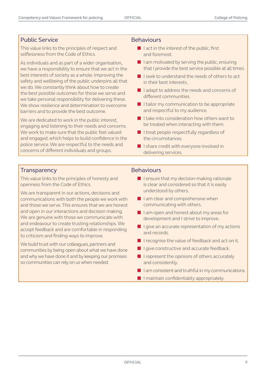### Public Service **Behaviours**

This value links to the principles of respect and selflessness from the Code of Ethics.

As individuals and as part of a wider organisation, we have a responsibility to ensure that we act in the best interests of society as a whole. Improving the safety and wellbeing of the public underpins all that we do. We constantly think about how to create the best possible outcomes for those we serve and we take personal responsibility for delivering these. We show resilience and determination to overcome barriers and to provide the best outcome.

We are dedicated to work in the public interest, engaging and listening to their needs and concerns. We work to make sure that the public feel valued and engaged, which helps to build confidence in the police service. We are respectful to the needs and concerns of different individuals and groups.

- I act in the interest of the public, first and foremost.
- I am motivated by serving the public, ensuring that I provide the best service possible at all times.
- I seek to understand the needs of others to act in their best interests.
- I adapt to address the needs and concerns of different communities.
- I tailor my communication to be appropriate and respectful to my audience.
- I take into consideration how others want to be treated when interacting with them.
- I treat people respectfully regardless of the circumstances.
- I share credit with everyone involved in delivering services.

### **Transparency Behaviours**

This value links to the principles of honesty and openness from the Code of Ethics.

We are transparent in our actions, decisions and communications with both the people we work with and those we serve. This ensures that we are honest and open in our interactions and decision making. We are genuine with those we communicate with and endeavour to create trusting relationships. We accept feedback and are comfortable in responding to criticism and finding ways to improve.

We build trust with our colleagues, partners and communities by being open about what we have done and why we have done it and by keeping our promises so communities can rely on us when needed.

- I ensure that my decision-making rationale is clear and considered so that it is easily understood by others.
- I am clear and comprehensive when communicating with others.
- I am open and honest about my areas for development and I strive to improve.
- I give an accurate representation of my actions and records.
- I recognise the value of feedback and act on it.
- I give constructive and accurate feedback.
- I represent the opinions of others accurately and consistently.
- I am consistent and truthful in my communications.
- I maintain confidentiality appropriately.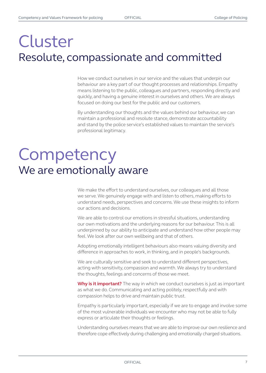### Cluster Resolute, compassionate and committed

How we conduct ourselves in our service and the values that underpin our behaviour are a key part of our thought processes and relationships. Empathy means listening to the public, colleagues and partners, responding directly and quickly, and having a genuine interest in ourselves and others. We are always focused on doing our best for the public and our customers.

By understanding our thoughts and the values behind our behaviour, we can maintain a professional and resolute stance, demonstrate accountability and stand by the police service's established values to maintain the service's professional legitimacy.

## **Competency** We are emotionally aware

We make the effort to understand ourselves, our colleagues and all those we serve. We genuinely engage with and listen to others, making efforts to understand needs, perspectives and concerns. We use these insights to inform our actions and decisions.

We are able to control our emotions in stressful situations, understanding our own motivations and the underlying reasons for our behaviour. This is all underpinned by our ability to anticipate and understand how other people may feel. We look after our own wellbeing and that of others.

Adopting emotionally intelligent behaviours also means valuing diversity and difference in approaches to work, in thinking, and in people's backgrounds.

We are culturally sensitive and seek to understand different perspectives, acting with sensitivity, compassion and warmth. We always try to understand the thoughts, feelings and concerns of those we meet.

**Why is it important?** The way in which we conduct ourselves is just as important as what we do. Communicating and acting politely, respectfully and with compassion helps to drive and maintain public trust.

Empathy is particularly important, especially if we are to engage and involve some of the most vulnerable individuals we encounter who may not be able to fully express or articulate their thoughts or feelings.

Understanding ourselves means that we are able to improve our own resilience and therefore cope effectively during challenging and emotionally charged situations.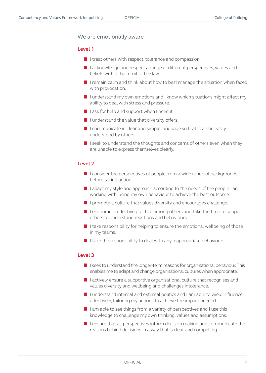#### We are emotionally aware

#### **Level 1**

- I treat others with respect, tolerance and compassion.
- I acknowledge and respect a range of different perspectives, values and beliefs within the remit of the law.
- I remain calm and think about how to best manage the situation when faced with provocation.
- I understand my own emotions and I know which situations might affect my ability to deal with stress and pressure.
- I ask for help and support when I need it.
- I understand the value that diversity offers.
- I communicate in clear and simple language so that I can be easily understood by others.
- I seek to understand the thoughts and concerns of others even when they are unable to express themselves clearly.

#### **Level 2**

- I consider the perspectives of people from a wide range of backgrounds before taking action.
- I adapt my style and approach according to the needs of the people I am working with, using my own behaviour to achieve the best outcome.
- I promote a culture that values diversity and encourages challenge.
- I encourage reflective practice among others and take the time to support others to understand reactions and behaviours.
- $\blacksquare$  I take responsibility for helping to ensure the emotional wellbeing of those in my teams.
- I take the responsibility to deal with any inappropriate behaviours.

- I seek to understand the longer-term reasons for organisational behaviour. This enables me to adapt and change organisational cultures when appropriate.
- I actively ensure a supportive organisational culture that recognises and values diversity and wellbeing and challenges intolerance.
- I understand internal and external politics and I am able to wield influence effectively, tailoring my actions to achieve the impact needed.
- $\blacksquare$  I am able to see things from a variety of perspectives and I use this knowledge to challenge my own thinking, values and assumptions.
- I ensure that all perspectives inform decision making and communicate the reasons behind decisions in a way that is clear and compelling.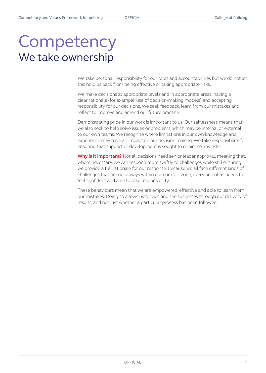### **Competency** We take ownership

We take personal responsibility for our roles and accountabilities but we do not let this hold us back from being effective or taking appropriate risks.

We make decisions at appropriate levels and in appropriate areas, having a clear rationale (for example, use of decision-making models) and accepting responsibility for our decisions. We seek feedback, learn from our mistakes and reflect to improve and amend our future practice.

Demonstrating pride in our work is important to us. Our selflessness means that we also seek to help solve issues or problems, which may be internal or external to our own teams. We recognise where limitations in our own knowledge and experience may have an impact on our decision making. We take responsibility for ensuring that support or development is sought to minimise any risks.

**Why is it important?** Not all decisions need senior leader approval, meaning that, where necessary, we can respond more swiftly to challenges while still ensuring we provide a full rationale for our response. Because we all face different kinds of challenges that are not always within our comfort zone, every one of us needs to feel confident and able to take responsibility.

These behaviours mean that we are empowered, effective and able to learn from our mistakes. Doing so allows us to own and see successes through our delivery of results, and not just whether a particular process has been followed.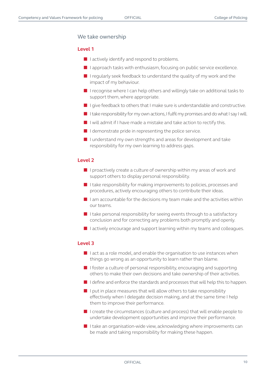#### We take ownership

#### **Level 1**

- I actively identify and respond to problems.
- I approach tasks with enthusiasm, focusing on public service excellence.
- I regularly seek feedback to understand the quality of my work and the impact of my behaviour.
- I recognise where I can help others and willingly take on additional tasks to support them, where appropriate.
- I give feedback to others that I make sure is understandable and constructive.
- I take responsibility for my own actions, I fulfil my promises and do what I say I will.
- I will admit if I have made a mistake and take action to rectify this.
- I demonstrate pride in representing the police service.
- I understand my own strengths and areas for development and take responsibility for my own learning to address gaps.

#### **Level 2**

- I proactively create a culture of ownership within my areas of work and support others to display personal responsibility.
- I take responsibility for making improvements to policies, processes and procedures, actively encouraging others to contribute their ideas.
- I am accountable for the decisions my team make and the activities within our teams.
- I take personal responsibility for seeing events through to a satisfactory conclusion and for correcting any problems both promptly and openly.
- I actively encourage and support learning within my teams and colleagues.

- I act as a role model, and enable the organisation to use instances when things go wrong as an opportunity to learn rather than blame.
- I foster a culture of personal responsibility, encouraging and supporting others to make their own decisions and take ownership of their activities.
- I define and enforce the standards and processes that will help this to happen.
- I put in place measures that will allow others to take responsibility effectively when I delegate decision making, and at the same time I help them to improve their performance.
- I create the circumstances (culture and process) that will enable people to undertake development opportunities and improve their performance.
- I take an organisation-wide view, acknowledging where improvements can be made and taking responsibility for making these happen.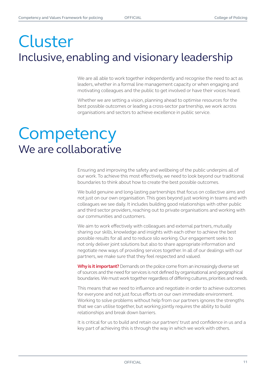### Cluster Inclusive, enabling and visionary leadership

We are all able to work together independently and recognise the need to act as leaders, whether in a formal line management capacity or when engaging and motivating colleagues and the public to get involved or have their voices heard.

Whether we are setting a vision, planning ahead to optimise resources for the best possible outcomes or leading a cross-sector partnership, we work across organisations and sectors to achieve excellence in public service.

## **Competency** We are collaborative

Ensuring and improving the safety and wellbeing of the public underpins all of our work. To achieve this most effectively, we need to look beyond our traditional boundaries to think about how to create the best possible outcomes.

We build genuine and long-lasting partnerships that focus on collective aims and not just on our own organisation. This goes beyond just working in teams and with colleagues we see daily. It includes building good relationships with other public and third sector providers, reaching out to private organisations and working with our communities and customers.

We aim to work effectively with colleagues and external partners, mutually sharing our skills, knowledge and insights with each other to achieve the best possible results for all and to reduce silo working. Our engagement seeks to not only deliver joint solutions but also to share appropriate information and negotiate new ways of providing services together. In all of our dealings with our partners, we make sure that they feel respected and valued.

**Why is it important?** Demands on the police come from an increasingly diverse set of sources and the need for services is not defined by organisational and geographical boundaries. We must work together regardless of differing cultures, priorities and needs.

This means that we need to influence and negotiate in order to achieve outcomes for everyone and not just focus efforts on our own immediate environment. Working to solve problems without help from our partners ignores the strengths that we can utilise together, but working jointly requires the ability to build relationships and break down barriers.

It is critical for us to build and retain our partners' trust and confidence in us and a key part of achieving this is through the way in which we work with others.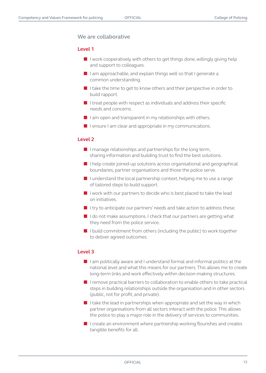#### We are collaborative

#### **Level 1**

- I work cooperatively with others to get things done, willingly giving help and support to colleagues.
- I am approachable, and explain things well so that I generate a common understanding.
- I take the time to get to know others and their perspective in order to build rapport.
- $\blacksquare$  I treat people with respect as individuals and address their specific needs and concerns.
- I am open and transparent in my relationships with others.
- I ensure I am clear and appropriate in my communications.

#### **Level 2**

- I manage relationships and partnerships for the long term, sharing information and building trust to find the best solutions.
- I help create joined-up solutions across organisational and geographical boundaries, partner organisations and those the police serve.
- I understand the local partnership context, helping me to use a range of tailored steps to build support.
- I work with our partners to decide who is best placed to take the lead on initiatives.
- I try to anticipate our partners' needs and take action to address these.
- I do not make assumptions. I check that our partners are getting what they need from the police service.
- I build commitment from others (including the public) to work together to deliver agreed outcomes.

- I am politically aware and I understand formal and informal politics at the national level and what this means for our partners. This allows me to create long-term links and work effectively within decision-making structures.
- I remove practical barriers to collaboration to enable others to take practical steps in building relationships outside the organisation and in other sectors (public, not for profit, and private).
- $\blacksquare$  I take the lead in partnerships when appropriate and set the way in which partner organisations from all sectors interact with the police. This allows the police to play a major role in the delivery of services to communities.
- I create an environment where partnership working flourishes and creates tangible benefits for all.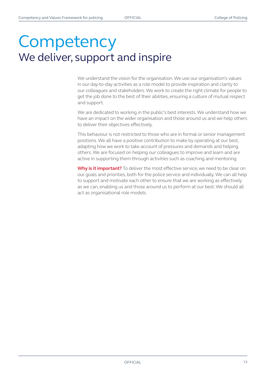## **Competency** We deliver, support and inspire

We understand the vision for the organisation. We use our organisation's values in our day-to-day activities as a role model to provide inspiration and clarity to our colleagues and stakeholders. We work to create the right climate for people to get the job done to the best of their abilities, ensuring a culture of mutual respect and support.

We are dedicated to working in the public's best interests. We understand how we have an impact on the wider organisation and those around us and we help others to deliver their objectives effectively.

This behaviour is not restricted to those who are in formal or senior management positions. We all have a positive contribution to make by operating at our best, adapting how we work to take account of pressures and demands and helping others. We are focused on helping our colleagues to improve and learn and are active in supporting them through activities such as coaching and mentoring.

**Why is it important?** To deliver the most effective service, we need to be clear on our goals and priorities, both for the police service and individually. We can all help to support and motivate each other to ensure that we are working as effectively as we can, enabling us and those around us to perform at our best. We should all act as organisational role models.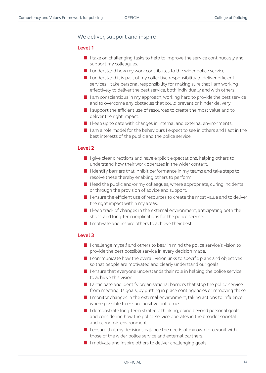#### We deliver, support and inspire

#### **Level 1**

- I take on challenging tasks to help to improve the service continuously and support my colleagues.
- I understand how my work contributes to the wider police service.
- I understand it is part of my collective responsibility to deliver efficient services. I take personal responsibility for making sure that I am working effectively to deliver the best service, both individually and with others.
- I am conscientious in my approach, working hard to provide the best service and to overcome any obstacles that could prevent or hinder delivery.
- I support the efficient use of resources to create the most value and to deliver the right impact.
- I keep up to date with changes in internal and external environments.
- I am a role model for the behaviours I expect to see in others and I act in the best interests of the public and the police service.

#### **Level 2**

- I give clear directions and have explicit expectations, helping others to understand how their work operates in the wider context.
- I identify barriers that inhibit performance in my teams and take steps to resolve these thereby enabling others to perform.
- I lead the public and/or my colleagues, where appropriate, during incidents or through the provision of advice and support.
- I ensure the efficient use of resources to create the most value and to deliver the right impact within my areas.
- I keep track of changes in the external environment, anticipating both the short- and long-term implications for the police service.
- I motivate and inspire others to achieve their best.

- I challenge myself and others to bear in mind the police service's vision to provide the best possible service in every decision made.
- I communicate how the overall vision links to specific plans and objectives so that people are motivated and clearly understand our goals.
- I ensure that everyone understands their role in helping the police service to achieve this vision.
- I anticipate and identify organisational barriers that stop the police service from meeting its goals, by putting in place contingencies or removing these.
- I monitor changes in the external environment, taking actions to influence where possible to ensure positive outcomes.
- I demonstrate long-term strategic thinking, going beyond personal goals and considering how the police service operates in the broader societal and economic environment.
- $\blacksquare$  I ensure that my decisions balance the needs of my own force/unit with those of the wider police service and external partners.
- I motivate and inspire others to deliver challenging goals.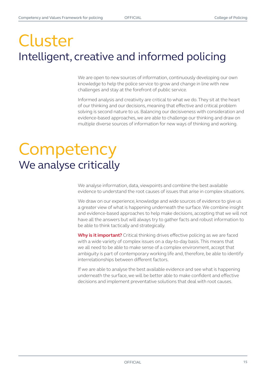## Cluster Intelligent, creative and informed policing

We are open to new sources of information, continuously developing our own knowledge to help the police service to grow and change in line with new challenges and stay at the forefront of public service.

Informed analysis and creativity are critical to what we do. They sit at the heart of our thinking and our decisions, meaning that effective and critical problem solving is second nature to us. Balancing our decisiveness with consideration and evidence-based approaches, we are able to challenge our thinking and draw on multiple diverse sources of information for new ways of thinking and working.

## **Competency** We analyse critically

We analyse information, data, viewpoints and combine the best available evidence to understand the root causes of issues that arise in complex situations.

We draw on our experience, knowledge and wide sources of evidence to give us a greater view of what is happening underneath the surface. We combine insight and evidence-based approaches to help make decisions, accepting that we will not have all the answers but will always try to gather facts and robust information to be able to think tactically and strategically.

**Why is it important?** Critical thinking drives effective policing as we are faced with a wide variety of complex issues on a day-to-day basis. This means that we all need to be able to make sense of a complex environment, accept that ambiguity is part of contemporary working life and, therefore, be able to identify interrelationships between different factors.

If we are able to analyse the best available evidence and see what is happening underneath the surface, we will be better able to make confident and effective decisions and implement preventative solutions that deal with root causes.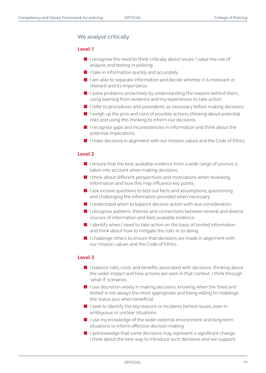#### We analyse critically

#### **Level 1**

- I recognise the need to think critically about issues. I value the use of analysis and testing in policing.
- I take in information quickly and accurately.
- I am able to separate information and decide whether it is irrelevant or relevant and its importance.
- $\blacksquare$  I solve problems proactively by understanding the reasons behind them, using learning from evidence and my experiences to take action.
- I refer to procedures and precedents as necessary before making decisions.
- I weigh up the pros and cons of possible actions, thinking about potential risks and using this thinking to inform our decisions.
- I recognise gaps and inconsistencies in information and think about the potential implications.
- I make decisions in alignment with our mission, values and the Code of Ethics.

#### **Level 2**

- I ensure that the best available evidence from a wide range of sources is taken into account when making decisions.
- $\blacksquare$  I think about different perspectives and motivations when reviewing information and how this may influence key points.
- I ask incisive questions to test out facts and assumptions, questioning and challenging the information provided when necessary.
- I understand when to balance decisive action with due consideration.
- I recognise patterns, themes and connections between several and diverse sources of information and best available evidence.
- I identify when I need to take action on the basis of limited information and think about how to mitigate the risks in so doing.
- I challenge others to ensure that decisions are made in alignment with our mission, values and the Code of Ethics.

- I balance risks, costs and benefits associated with decisions, thinking about the wider impact and how actions are seen in that context. I think through 'what if' scenarios.
- I use discretion wisely in making decisions, knowing when the 'tried and tested' is not always the most appropriate and being willing to challenge the status quo when beneficial.
- I seek to identify the key reasons or incidents behind issues, even in ambiguous or unclear situations.
- I use my knowledge of the wider external environment and long-term situations to inform effective decision making.
- I acknowledge that some decisions may represent a significant change. I think about the best way to introduce such decisions and win support.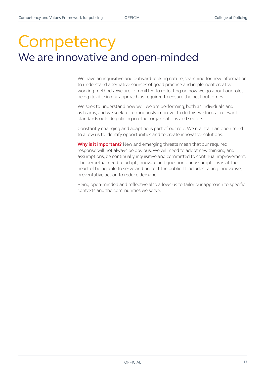### **Competency** We are innovative and open-minded

We have an inquisitive and outward-looking nature, searching for new information to understand alternative sources of good practice and implement creative working methods. We are committed to reflecting on how we go about our roles, being flexible in our approach as required to ensure the best outcomes.

We seek to understand how well we are performing, both as individuals and as teams, and we seek to continuously improve. To do this, we look at relevant standards outside policing in other organisations and sectors.

Constantly changing and adapting is part of our role. We maintain an open mind to allow us to identify opportunities and to create innovative solutions.

**Why is it important?** New and emerging threats mean that our required response will not always be obvious. We will need to adopt new thinking and assumptions, be continually inquisitive and committed to continual improvement. The perpetual need to adapt, innovate and question our assumptions is at the heart of being able to serve and protect the public. It includes taking innovative, preventative action to reduce demand.

Being open-minded and reflective also allows us to tailor our approach to specific contexts and the communities we serve.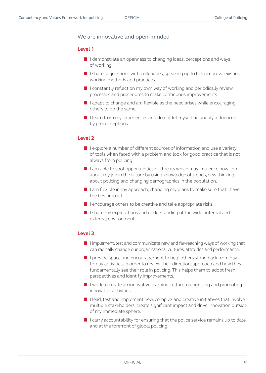#### We are innovative and open-minded

#### **Level 1**

- I demonstrate an openness to changing ideas, perceptions and ways of working.
- I share suggestions with colleagues, speaking up to help improve existing working methods and practices.
- I constantly reflect on my own way of working and periodically review processes and procedures to make continuous improvements.
- $\blacksquare$  I adapt to change and am flexible as the need arises while encouraging others to do the same.
- I learn from my experiences and do not let myself be unduly influenced by preconceptions.

#### **Level 2**

- I explore a number of different sources of information and use a variety of tools when faced with a problem and look for good practice that is not always from policing.
- I am able to spot opportunities or threats which may influence how I go about my job in the future by using knowledge of trends, new thinking about policing and changing demographics in the population.
- I am flexible in my approach, changing my plans to make sure that I have the best impact.
- I encourage others to be creative and take appropriate risks.
- I share my explorations and understanding of the wider internal and external environment.

- I implement, test and communicate new and far-reaching ways of working that can radically change our organisational cultures, attitudes and performance.
- I provide space and encouragement to help others stand back from dayto-day activities, in order to review their direction, approach and how they fundamentally see their role in policing. This helps them to adopt fresh perspectives and identify improvements.
- I work to create an innovative learning culture, recognising and promoting innovative activities.
- I lead, test and implement new, complex and creative initiatives that involve multiple stakeholders, create significant impact and drive innovation outside of my immediate sphere.
- I carry accountability for ensuring that the police service remains up to date and at the forefront of global policing.